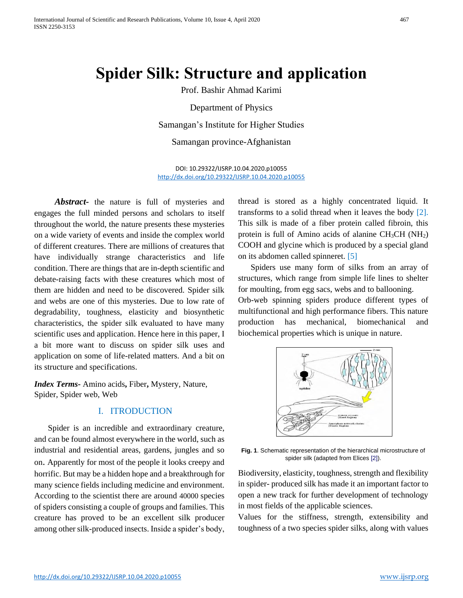# **Spider Silk: Structure and application**

Prof. Bashir Ahmad Karimi

Department of Physics

Samangan's Institute for Higher Studies

Samangan province-Afghanistan

DOI: 10.29322/IJSRP.10.04.2020.p10055 <http://dx.doi.org/10.29322/IJSRP.10.04.2020.p10055>

 *Abstract-* the nature is full of mysteries and engages the full minded persons and scholars to itself throughout the world, the nature presents these mysteries on a wide variety of events and inside the complex world of different creatures. There are millions of creatures that have individually strange characteristics and life condition. There are things that are in-depth scientific and debate-raising facts with these creatures which most of them are hidden and need to be discovered. Spider silk and webs are one of this mysteries. Due to low rate of degradability, toughness, elasticity and biosynthetic characteristics, the spider silk evaluated to have many scientific uses and application. Hence here in this paper, I a bit more want to discuss on spider silk uses and application on some of life-related matters. And a bit on its structure and specifications.

*Index Terms-* Amino acids**,** Fiber**,** Mystery, Nature, Spider, Spider web, Web

## I. ITRODUCTION

 Spider is an incredible and extraordinary creature, and can be found almost everywhere in the world, such as industrial and residential areas, gardens, jungles and so on. Apparently for most of the people it looks creepy and horrific. But may be a hidden hope and a breakthrough for many science fields including medicine and environment. According to the scientist there are around 40000 species of spiders consisting a couple of groups and families. This creature has proved to be an excellent silk producer among other silk-produced insects. Inside a spider's body,

thread is stored as a highly concentrated liquid. It transforms to a solid thread when it leaves the body [2]. This silk is made of a fiber protein called fibroin, this protein is full of Amino acids of alanine  $CH_3CH$  (NH<sub>2</sub>) COOH and glycine which is produced by a special gland on its abdomen called spinneret. [5]

 Spiders use many form of silks from an array of structures, which range from simple life lines to shelter for moulting, from egg sacs, webs and to ballooning. Orb-web spinning spiders produce different types of multifunctional and high performance fibers. This nature production has mechanical, biomechanical and

biochemical properties which is unique in nature.



**Fig. 1**. Schematic representation of the hierarchical microstructure of spider silk (adapted from Elices [2]).

Biodiversity, elasticity, toughness, strength and flexibility in spider- produced silk has made it an important factor to open a new track for further development of technology in most fields of the applicable sciences.

Values for the stiffness, strength, extensibility and toughness of a two species spider silks, along with values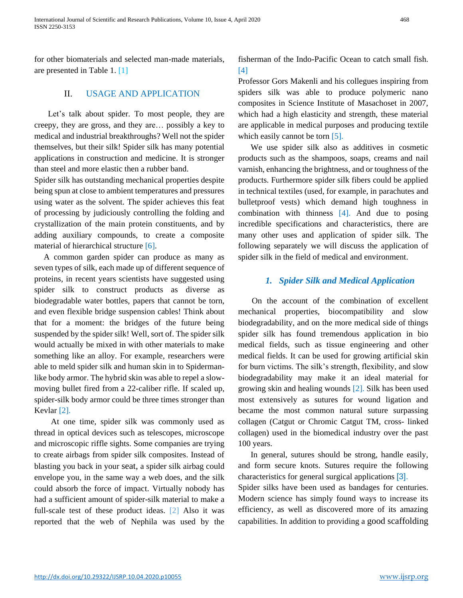for other biomaterials and selected man-made materials, are presented in Table 1. [1]

## II. USAGE AND APPLICATION

 Let's talk about spider. To most people, they are creepy, they are gross, and they are… possibly a key to medical and industrial breakthroughs? Well not the spider themselves, but their silk! Spider silk has many potential applications in construction and medicine. It is stronger than steel and more elastic then a rubber band.

Spider silk has outstanding mechanical properties despite being spun at close to ambient temperatures and pressures using water as the solvent. The spider achieves this feat of processing by judiciously controlling the folding and crystallization of the main protein constituents, and by adding auxiliary compounds, to create a composite material of hierarchical structure [6].

 A common garden spider can produce as many as seven types of silk, each made up of different sequence of proteins, in recent years scientists have suggested using spider silk to construct products as diverse as biodegradable water bottles, papers that cannot be torn, and even flexible bridge suspension cables! Think about that for a moment: the bridges of the future being suspended by the spider silk! Well, sort of. The spider silk would actually be mixed in with other materials to make something like an alloy. For example, researchers were able to meld spider silk and human skin in to Spidermanlike body armor. The hybrid skin was able to repel a slowmoving bullet fired from a 22-caliber rifle. If scaled up, spider-silk body armor could be three times stronger than Kevlar [2].

 At one time, spider silk was commonly used as thread in optical devices such as telescopes, microscope and microscopic riffle sights. Some companies are trying to create airbags from spider silk composites. Instead of blasting you back in your seat, a spider silk airbag could envelope you, in the same way a web does, and the silk could absorb the force of impact. Virtually nobody has had a sufficient amount of spider-silk material to make a full-scale test of these product ideas. [2] Also it was reported that the web of Nephila was used by the

fisherman of the Indo-Pacific Ocean to catch small fish. [4]

Professor Gors Makenli and his collegues inspiring from spiders silk was able to produce polymeric nano composites in Science Institute of Masachoset in 2007, which had a high elasticity and strength, these material are applicable in medical purposes and producing textile which easily cannot be torn [5].

 We use spider silk also as additives in cosmetic products such as the shampoos, soaps, creams and nail varnish, enhancing the brightness, and or toughness of the products. Furthermore spider silk fibers could be applied in technical textiles (used, for example, in parachutes and bulletproof vests) which demand high toughness in combination with thinness [4]. And due to posing incredible specifications and characteristics, there are many other uses and application of spider silk. The following separately we will discuss the application of spider silk in the field of medical and environment.

## *1. Spider Silk and Medical Application*

 On the account of the combination of excellent mechanical properties, biocompatibility and slow biodegradability, and on the more medical side of things spider silk has found tremendous application in bio medical fields, such as tissue engineering and other medical fields. It can be used for growing artificial skin for burn victims. The silk's strength, flexibility, and slow biodegradability may make it an ideal material for growing skin and healing wounds [2]. Silk has been used most extensively as sutures for wound ligation and became the most common natural suture surpassing collagen (Catgut or Chromic Catgut TM, cross- linked collagen) used in the biomedical industry over the past 100 years.

 In general, sutures should be strong, handle easily, and form secure knots. Sutures require the following characteristics for general surgical applications [3].

Spider silks have been used as bandages for centuries. Modern science has simply found ways to increase its efficiency, as well as discovered more of its amazing capabilities. In addition to providing a good scaffolding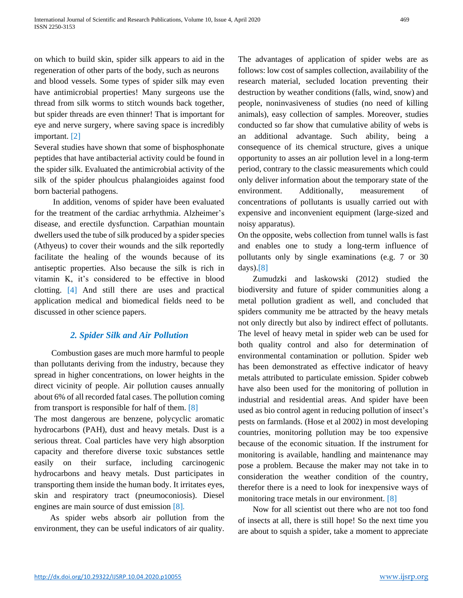on which to build skin, spider silk appears to aid in the regeneration of other parts of the body, such as neurons and blood vessels. Some types of spider silk may even have antimicrobial properties! Many surgeons use the thread from silk worms to stitch wounds back together, but spider threads are even thinner! That is important for eye and nerve surgery, where saving space is incredibly important. [2]

Several studies have shown that some of bisphosphonate peptides that have antibacterial activity could be found in the spider silk. Evaluated the antimicrobial activity of the silk of the spider phoulcus phalangioides against food born bacterial pathogens.

 In addition, venoms of spider have been evaluated for the treatment of the cardiac arrhythmia. Alzheimer's disease, and erectile dysfunction. Carpathian mountain dwellers used the tube of silk produced by a spider species (Athyeus) to cover their wounds and the silk reportedly facilitate the healing of the wounds because of its antiseptic properties. Also because the silk is rich in vitamin K, it's considered to be effective in blood clotting. [4] And still there are uses and practical application medical and biomedical fields need to be discussed in other science papers.

## *2. Spider Silk and Air Pollution*

 Combustion gases are much more harmful to people than pollutants deriving from the industry, because they spread in higher concentrations, on lower heights in the direct vicinity of people. Air pollution causes annually about 6% of all recorded fatal cases. The pollution coming from transport is responsible for half of them. [8]

The most dangerous are benzene, polycyclic aromatic hydrocarbons (PAH), dust and heavy metals. Dust is a serious threat. Coal particles have very high absorption capacity and therefore diverse toxic substances settle easily on their surface, including carcinogenic hydrocarbons and heavy metals. Dust participates in transporting them inside the human body. It irritates eyes, skin and respiratory tract (pneumoconiosis). Diesel engines are main source of dust emission [8].

 As spider webs absorb air pollution from the environment, they can be useful indicators of air quality.

The advantages of application of spider webs are as follows: low cost of samples collection, availability of the research material, secluded location preventing their destruction by weather conditions (falls, wind, snow) and people, noninvasiveness of studies (no need of killing animals), easy collection of samples. Moreover, studies conducted so far show that cumulative ability of webs is an additional advantage. Such ability, being a consequence of its chemical structure, gives a unique opportunity to asses an air pollution level in a long-term period, contrary to the classic measurements which could only deliver information about the temporary state of the environment. Additionally, measurement of concentrations of pollutants is usually carried out with expensive and inconvenient equipment (large-sized and noisy apparatus).

On the opposite, webs collection from tunnel walls is fast and enables one to study a long-term influence of pollutants only by single examinations (e.g. 7 or 30 days).[8]

 Zumudzki and laskowski (2012) studied the biodiversity and future of spider communities along a metal pollution gradient as well, and concluded that spiders community me be attracted by the heavy metals not only directly but also by indirect effect of pollutants. The level of heavy metal in spider web can be used for both quality control and also for determination of environmental contamination or pollution. Spider web has been demonstrated as effective indicator of heavy metals attributed to particulate emission. Spider cobweb have also been used for the monitoring of pollution in industrial and residential areas. And spider have been used as bio control agent in reducing pollution of insect's pests on farmlands. (Hose et al 2002) in most developing countries, monitoring pollution may be too expensive because of the economic situation. If the instrument for monitoring is available, handling and maintenance may pose a problem. Because the maker may not take in to consideration the weather condition of the country, therefor there is a need to look for inexpensive ways of monitoring trace metals in our environment. [8]

 Now for all scientist out there who are not too fond of insects at all, there is still hope! So the next time you are about to squish a spider, take a moment to appreciate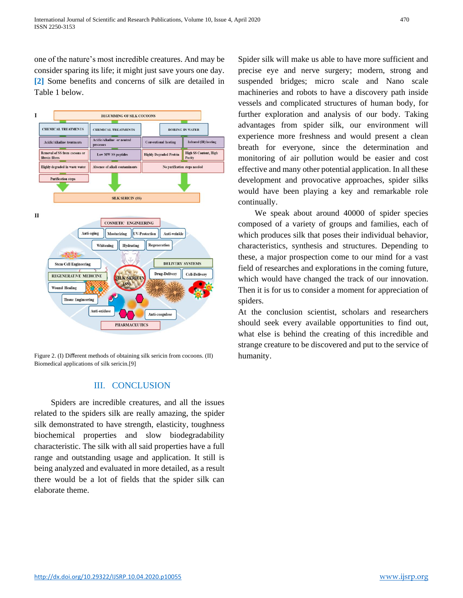one of the nature's most incredible creatures. And may be consider sparing its life; it might just save yours one day. **[2]** Some benefits and concerns of silk are detailed in Table 1 below.



Figure 2. (I) Different methods of obtaining silk sericin from cocoons. (II) Biomedical applications of silk sericin.[9]

# III. CONCLUSION

 Spiders are incredible creatures, and all the issues related to the spiders silk are really amazing, the spider silk demonstrated to have strength, elasticity, toughness biochemical properties and slow biodegradability characteristic. The silk with all said properties have a full range and outstanding usage and application. It still is being analyzed and evaluated in more detailed, as a result there would be a lot of fields that the spider silk can elaborate theme.

Spider silk will make us able to have more sufficient and precise eye and nerve surgery; modern, strong and suspended bridges; micro scale and Nano scale machineries and robots to have a discovery path inside vessels and complicated structures of human body, for further exploration and analysis of our body. Taking advantages from spider silk, our environment will experience more freshness and would present a clean breath for everyone, since the determination and monitoring of air pollution would be easier and cost effective and many other potential application. In all these development and provocative approaches, spider silks would have been playing a key and remarkable role continually.

 We speak about around 40000 of spider species composed of a variety of groups and families, each of which produces silk that poses their individual behavior, characteristics, synthesis and structures. Depending to these, a major prospection come to our mind for a vast field of researches and explorations in the coming future, which would have changed the track of our innovation. Then it is for us to consider a moment for appreciation of spiders.

At the conclusion scientist, scholars and researchers should seek every available opportunities to find out, what else is behind the creating of this incredible and strange creature to be discovered and put to the service of humanity.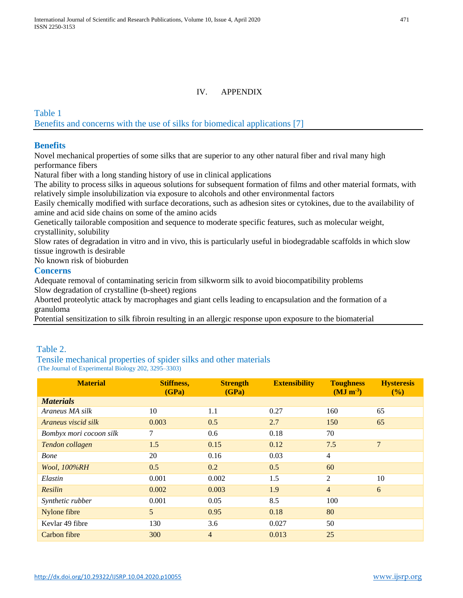# IV. APPENDIX

Table 1

Benefits and concerns with the use of silks for biomedical applications [7]

## **Benefits**

Novel mechanical properties of some silks that are superior to any other natural fiber and rival many high performance fibers

Natural fiber with a long standing history of use in clinical applications

The ability to process silks in aqueous solutions for subsequent formation of films and other material formats, with relatively simple insolubilization via exposure to alcohols and other environmental factors

Easily chemically modified with surface decorations, such as adhesion sites or cytokines, due to the availability of amine and acid side chains on some of the amino acids

Genetically tailorable composition and sequence to moderate specific features, such as molecular weight, crystallinity, solubility

Slow rates of degradation in vitro and in vivo, this is particularly useful in biodegradable scaffolds in which slow tissue ingrowth is desirable

No known risk of bioburden

#### **Concerns**

Adequate removal of contaminating sericin from silkworm silk to avoid biocompatibility problems Slow degradation of crystalline (b-sheet) regions

Aborted proteolytic attack by macrophages and giant cells leading to encapsulation and the formation of a granuloma

Potential sensitization to silk fibroin resulting in an allergic response upon exposure to the biomaterial

# Table 2.

Tensile mechanical properties of spider silks and other materials

(The Journal of Experimental Biology 202, 3295–3303)

| <b>Material</b>         | <b>Stiffness,</b><br>(GPa) | <b>Strength</b><br>(GPa) | <b>Extensibility</b> | <b>Toughness</b><br>(MJ m <sup>3</sup> ) | <b>Hysteresis</b><br>(%) |
|-------------------------|----------------------------|--------------------------|----------------------|------------------------------------------|--------------------------|
| <b>Materials</b>        |                            |                          |                      |                                          |                          |
| Araneus MA silk         | 10                         | 1.1                      | 0.27                 | 160                                      | 65                       |
| Araneus viscid silk     | 0.003                      | 0.5                      | 2.7                  | 150                                      | 65                       |
| Bombyx mori cocoon silk | 7                          | 0.6                      | 0.18                 | 70                                       |                          |
| Tendon collagen         | 1.5                        | 0.15                     | 0.12                 | 7.5                                      | $\overline{7}$           |
| Bone                    | 20                         | 0.16                     | 0.03                 | $\overline{4}$                           |                          |
| <b>Wool, 100%RH</b>     | 0.5                        | 0.2                      | 0.5                  | 60                                       |                          |
| Elastin                 | 0.001                      | 0.002                    | 1.5                  | $\overline{2}$                           | 10                       |
| Resilin                 | 0.002                      | 0.003                    | 1.9                  | $\overline{4}$                           | 6                        |
| Synthetic rubber        | 0.001                      | 0.05                     | 8.5                  | 100                                      |                          |
| Nylone fibre            | 5                          | 0.95                     | 0.18                 | 80                                       |                          |
| Kevlar 49 fibre         | 130                        | 3.6                      | 0.027                | 50                                       |                          |
| Carbon fibre            | 300                        | $\overline{4}$           | 0.013                | 25                                       |                          |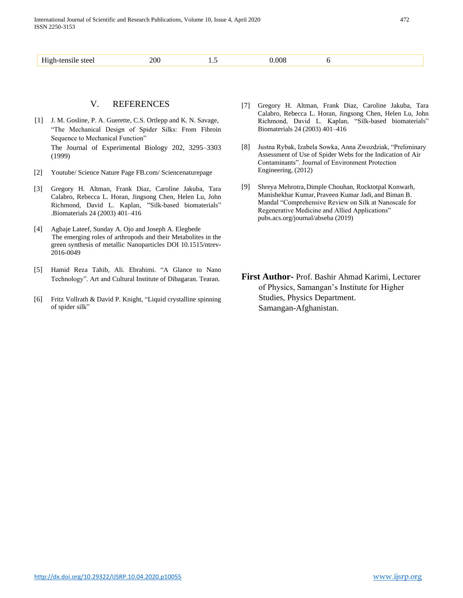| 200<br>.<br>. |
|---------------|
|---------------|

# V. REFERENCES

- [1] J. M. Gosline, P. A. Guerette, C.S. Ortlepp and K. N. Savage, "The Mechanical Design of Spider Silks: From Fibroin Sequence to Mechanical Function" The Journal of Experimental Biology 202, 3295–3303 (1999)
- [2] Youtube/ Science Nature Page FB.com/ Sciencenaturepage
- [3] Gregory H. Altman, Frank Diaz, Caroline Jakuba, Tara Calabro, Rebecca L. Horan, Jingsong Chen, Helen Lu, John Richmond, David L. Kaplan, "Silk-based biomaterials" .Biomaterials 24 (2003) 401–416
- [4] Agbaje Lateef, Sunday A. Ojo and Joseph A. Elegbede The emerging roles of arthropods and their Metabolites in the green synthesis of metallic Nanoparticles DOI 10.1515/ntrev-2016-0049
- [5] Hamid Reza Tahib, Ali. Ebrahimi. "A Glance to Nano Technology". Art and Cultural Institute of Dibagaran. Tearan.
- [6] Fritz Vollrath & David P. Knight, "Liquid crystalline spinning of spider silk"
- [7] Gregory H. Altman, Frank Diaz, Caroline Jakuba, Tara Calabro, Rebecca L. Horan, Jingsong Chen, Helen Lu, John Richmond, David L. Kaplan, "Silk-based biomaterials" Biomaterials 24 (2003) 401–416
- [8] Justna Rybak, Izabela Sowka, Anna Zwozdziak, "Preliminary Assessment of Use of Spider Webs for the Indication of Air Contaminants". Journal of Environment Protection Engineering, (2012)
- [9] Shreya Mehrotra,Dimple Chouhan, Rocktotpal Konwarh, Manishekhar Kumar,Praveen Kumar Jadi, and Biman B. Mandal "Comprehensive Review on Silk at Nanoscale for Regenerative Medicine and Allied Applications" pubs.acs.org/journal/abseba (2019)
- **First Author-** Prof. Bashir Ahmad Karimi, Lecturer of Physics, Samangan's Institute for Higher Studies, Physics Department. Samangan-Afghanistan.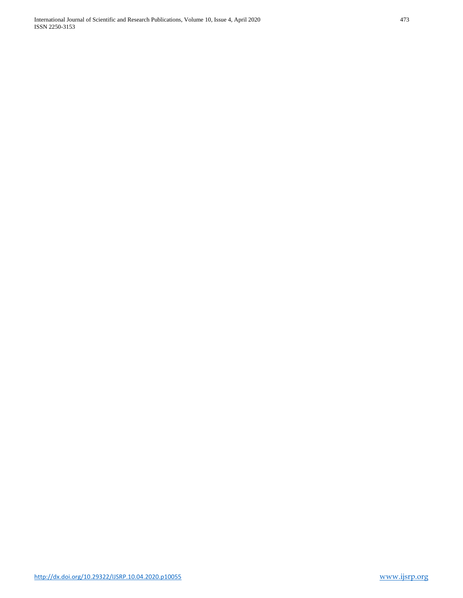International Journal of Scientific and Research Publications, Volume 10, Issue 4, April 2020 473 ISSN 2250-3153